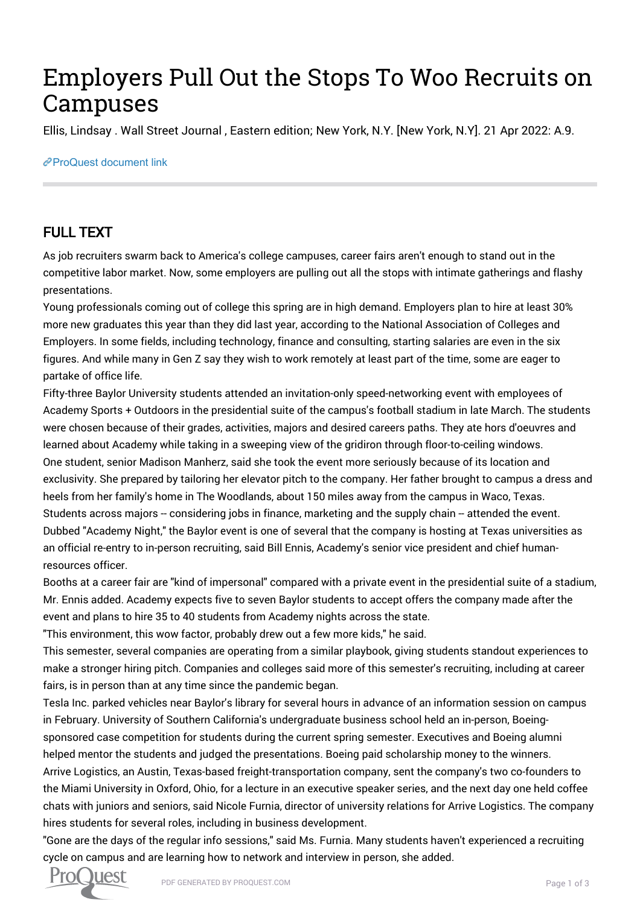## Employers Pull Out the Stops To Woo Recruits on Campuses

Ellis, Lindsay . Wall Street Journal , Eastern edition; New York, N.Y. [New York, N.Y]. 21 Apr 2022: A.9.

## [ProQuest document link](https://www.proquest.com/newspapers/employers-pull-out-stops-woo-recruits-on-campuses/docview/2652766461/se-2?accountid=44910)

## FULL TEXT

As job recruiters swarm back to America's college campuses, career fairs aren't enough to stand out in the competitive labor market. Now, some employers are pulling out all the stops with intimate gatherings and flashy presentations.

Young professionals coming out of college this spring are in high demand. Employers plan to hire at least 30% more new graduates this year than they did last year, according to the National Association of Colleges and Employers. In some fields, including technology, finance and consulting, starting salaries are even in the six figures. And while many in Gen Z say they wish to work remotely at least part of the time, some are eager to partake of office life.

Fifty-three Baylor University students attended an invitation-only speed-networking event with employees of Academy Sports + Outdoors in the presidential suite of the campus's football stadium in late March. The students were chosen because of their grades, activities, majors and desired careers paths. They ate hors d'oeuvres and learned about Academy while taking in a sweeping view of the gridiron through floor-to-ceiling windows. One student, senior Madison Manherz, said she took the event more seriously because of its location and exclusivity. She prepared by tailoring her elevator pitch to the company. Her father brought to campus a dress and heels from her family's home in The Woodlands, about 150 miles away from the campus in Waco, Texas. Students across majors -- considering jobs in finance, marketing and the supply chain -- attended the event. Dubbed "Academy Night," the Baylor event is one of several that the company is hosting at Texas universities as an official re-entry to in-person recruiting, said Bill Ennis, Academy's senior vice president and chief humanresources officer.

Booths at a career fair are "kind of impersonal" compared with a private event in the presidential suite of a stadium, Mr. Ennis added. Academy expects five to seven Baylor students to accept offers the company made after the event and plans to hire 35 to 40 students from Academy nights across the state.

"This environment, this wow factor, probably drew out a few more kids," he said.

This semester, several companies are operating from a similar playbook, giving students standout experiences to make a stronger hiring pitch. Companies and colleges said more of this semester's recruiting, including at career fairs, is in person than at any time since the pandemic began.

Tesla Inc. parked vehicles near Baylor's library for several hours in advance of an information session on campus in February. University of Southern California's undergraduate business school held an in-person, Boeingsponsored case competition for students during the current spring semester. Executives and Boeing alumni helped mentor the students and judged the presentations. Boeing paid scholarship money to the winners.

Arrive Logistics, an Austin, Texas-based freight-transportation company, sent the company's two co-founders to the Miami University in Oxford, Ohio, for a lecture in an executive speaker series, and the next day one held coffee chats with juniors and seniors, said Nicole Furnia, director of university relations for Arrive Logistics. The company hires students for several roles, including in business development.

"Gone are the days of the regular info sessions," said Ms. Furnia. Many students haven't experienced a recruiting cycle on campus and are learning how to network and interview in person, she added.

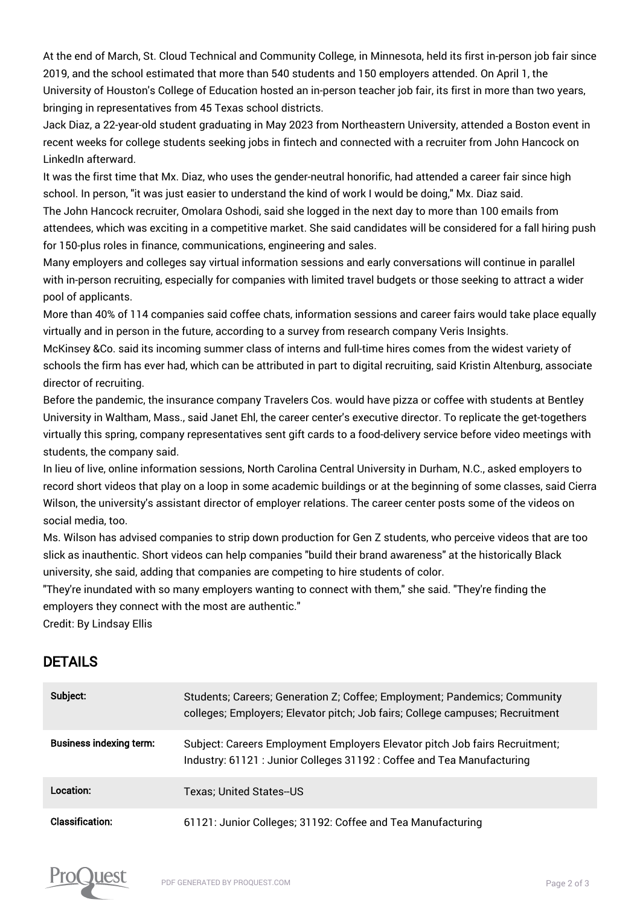At the end of March, St. Cloud Technical and Community College, in Minnesota, held its first in-person job fair since 2019, and the school estimated that more than 540 students and 150 employers attended. On April 1, the University of Houston's College of Education hosted an in-person teacher job fair, its first in more than two years, bringing in representatives from 45 Texas school districts.

Jack Diaz, a 22-year-old student graduating in May 2023 from Northeastern University, attended a Boston event in recent weeks for college students seeking jobs in fintech and connected with a recruiter from John Hancock on LinkedIn afterward.

It was the first time that Mx. Diaz, who uses the gender-neutral honorific, had attended a career fair since high school. In person, "it was just easier to understand the kind of work I would be doing," Mx. Diaz said.

The John Hancock recruiter, Omolara Oshodi, said she logged in the next day to more than 100 emails from attendees, which was exciting in a competitive market. She said candidates will be considered for a fall hiring push for 150-plus roles in finance, communications, engineering and sales.

Many employers and colleges say virtual information sessions and early conversations will continue in parallel with in-person recruiting, especially for companies with limited travel budgets or those seeking to attract a wider pool of applicants.

More than 40% of 114 companies said coffee chats, information sessions and career fairs would take place equally virtually and in person in the future, according to a survey from research company Veris Insights.

McKinsey &Co. said its incoming summer class of interns and full-time hires comes from the widest variety of schools the firm has ever had, which can be attributed in part to digital recruiting, said Kristin Altenburg, associate director of recruiting.

Before the pandemic, the insurance company Travelers Cos. would have pizza or coffee with students at Bentley University in Waltham, Mass., said Janet Ehl, the career center's executive director. To replicate the get-togethers virtually this spring, company representatives sent gift cards to a food-delivery service before video meetings with students, the company said.

In lieu of live, online information sessions, North Carolina Central University in Durham, N.C., asked employers to record short videos that play on a loop in some academic buildings or at the beginning of some classes, said Cierra Wilson, the university's assistant director of employer relations. The career center posts some of the videos on social media, too.

Ms. Wilson has advised companies to strip down production for Gen Z students, who perceive videos that are too slick as inauthentic. Short videos can help companies "build their brand awareness" at the historically Black university, she said, adding that companies are competing to hire students of color.

"They're inundated with so many employers wanting to connect with them," she said. "They're finding the employers they connect with the most are authentic."

Credit: By Lindsay Ellis

## DETAILS

| Subject:                       | Students; Careers; Generation Z; Coffee; Employment; Pandemics; Community<br>colleges; Employers; Elevator pitch; Job fairs; College campuses; Recruitment |
|--------------------------------|------------------------------------------------------------------------------------------------------------------------------------------------------------|
| <b>Business indexing term:</b> | Subject: Careers Employment Employers Elevator pitch Job fairs Recruitment;<br>Industry: 61121 : Junior Colleges 31192 : Coffee and Tea Manufacturing      |
| Location:                      | Texas; United States--US                                                                                                                                   |
| <b>Classification:</b>         | 61121: Junior Colleges; 31192: Coffee and Tea Manufacturing                                                                                                |